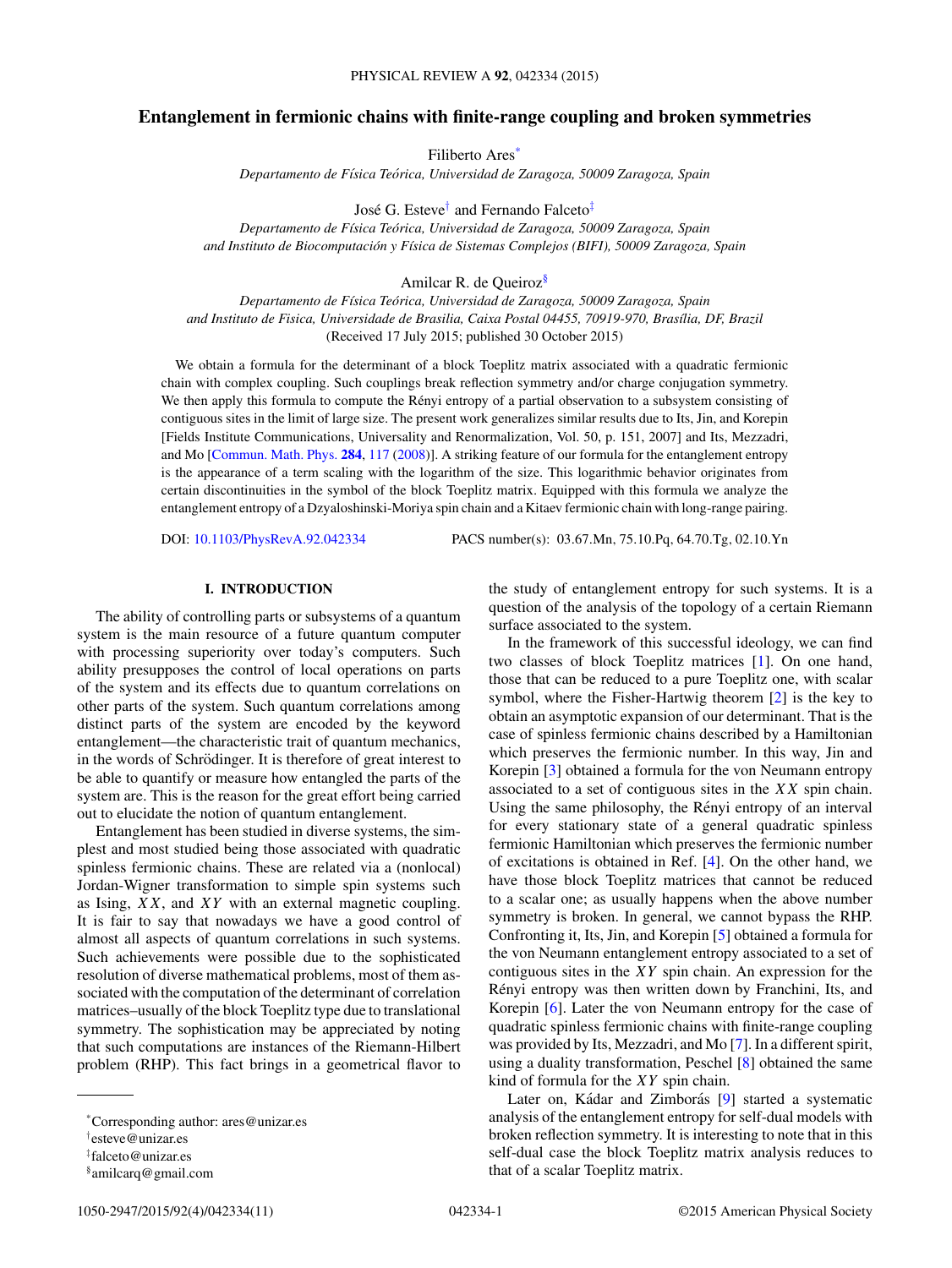## **Entanglement in fermionic chains with finite-range coupling and broken symmetries**

Filiberto Ares<sup>\*</sup>

*Departamento de F´ısica Teorica, Universidad de Zaragoza, 50009 Zaragoza, Spain ´*

José G. Esteve<sup>†</sup> and Fernando Falceto<sup>‡</sup>

*Departamento de F´ısica Teorica, Universidad de Zaragoza, 50009 Zaragoza, Spain ´ and Instituto de Biocomputacion y F ´ ´ısica de Sistemas Complejos (BIFI), 50009 Zaragoza, Spain*

Amilcar R. de Queiroz§

*Departamento de F´ısica Teorica, Universidad de Zaragoza, 50009 Zaragoza, Spain ´ and Instituto de Fisica, Universidade de Brasilia, Caixa Postal 04455, 70919-970, Bras´ılia, DF, Brazil* (Received 17 July 2015; published 30 October 2015)

We obtain a formula for the determinant of a block Toeplitz matrix associated with a quadratic fermionic chain with complex coupling. Such couplings break reflection symmetry and/or charge conjugation symmetry. We then apply this formula to compute the Rényi entropy of a partial observation to a subsystem consisting of contiguous sites in the limit of large size. The present work generalizes similar results due to Its, Jin, and Korepin [Fields Institute Communications, Universality and Renormalization, Vol. 50, p. 151, 2007] and Its, Mezzadri, and Mo [\[Commun. Math. Phys.](http://dx.doi.org/10.1007/s00220-008-0566-6) **[284](http://dx.doi.org/10.1007/s00220-008-0566-6)**, [117](http://dx.doi.org/10.1007/s00220-008-0566-6) [\(2008\)](http://dx.doi.org/10.1007/s00220-008-0566-6)]. A striking feature of our formula for the entanglement entropy is the appearance of a term scaling with the logarithm of the size. This logarithmic behavior originates from certain discontinuities in the symbol of the block Toeplitz matrix. Equipped with this formula we analyze the entanglement entropy of a Dzyaloshinski-Moriya spin chain and a Kitaev fermionic chain with long-range pairing.

DOI: [10.1103/PhysRevA.92.042334](http://dx.doi.org/10.1103/PhysRevA.92.042334) PACS number(s): 03*.*67*.*Mn*,* 75*.*10*.*Pq*,* 64*.*70*.*Tg*,* 02*.*10*.*Yn

# **I. INTRODUCTION**

The ability of controlling parts or subsystems of a quantum system is the main resource of a future quantum computer with processing superiority over today's computers. Such ability presupposes the control of local operations on parts of the system and its effects due to quantum correlations on other parts of the system. Such quantum correlations among distinct parts of the system are encoded by the keyword entanglement—the characteristic trait of quantum mechanics, in the words of Schrödinger. It is therefore of great interest to be able to quantify or measure how entangled the parts of the system are. This is the reason for the great effort being carried out to elucidate the notion of quantum entanglement.

Entanglement has been studied in diverse systems, the simplest and most studied being those associated with quadratic spinless fermionic chains. These are related via a (nonlocal) Jordan-Wigner transformation to simple spin systems such as Ising, *XX*, and *XY* with an external magnetic coupling. It is fair to say that nowadays we have a good control of almost all aspects of quantum correlations in such systems. Such achievements were possible due to the sophisticated resolution of diverse mathematical problems, most of them associated with the computation of the determinant of correlation matrices–usually of the block Toeplitz type due to translational symmetry. The sophistication may be appreciated by noting that such computations are instances of the Riemann-Hilbert problem (RHP). This fact brings in a geometrical flavor to

1050-2947/2015/92(4)/042334(11) 042334-1 ©2015 American Physical Society

the study of entanglement entropy for such systems. It is a question of the analysis of the topology of a certain Riemann surface associated to the system.

In the framework of this successful ideology, we can find two classes of block Toeplitz matrices [\[1\]](#page-10-0). On one hand, those that can be reduced to a pure Toeplitz one, with scalar symbol, where the Fisher-Hartwig theorem [\[2\]](#page-10-0) is the key to obtain an asymptotic expansion of our determinant. That is the case of spinless fermionic chains described by a Hamiltonian which preserves the fermionic number. In this way, Jin and Korepin [\[3\]](#page-10-0) obtained a formula for the von Neumann entropy associated to a set of contiguous sites in the *XX* spin chain. Using the same philosophy, the Rényi entropy of an interval for every stationary state of a general quadratic spinless fermionic Hamiltonian which preserves the fermionic number of excitations is obtained in Ref. [\[4\]](#page-10-0). On the other hand, we have those block Toeplitz matrices that cannot be reduced to a scalar one; as usually happens when the above number symmetry is broken. In general, we cannot bypass the RHP. Confronting it, Its, Jin, and Korepin [\[5\]](#page-10-0) obtained a formula for the von Neumann entanglement entropy associated to a set of contiguous sites in the *XY* spin chain. An expression for the Rényi entropy was then written down by Franchini, Its, and Korepin [\[6\]](#page-10-0). Later the von Neumann entropy for the case of quadratic spinless fermionic chains with finite-range coupling was provided by Its, Mezzadri, and Mo [\[7\]](#page-10-0). In a different spirit, using a duality transformation, Peschel [\[8\]](#page-10-0) obtained the same kind of formula for the *XY* spin chain.

Later on, Kádar and Zimborás [[9\]](#page-10-0) started a systematic analysis of the entanglement entropy for self-dual models with broken reflection symmetry. It is interesting to note that in this self-dual case the block Toeplitz matrix analysis reduces to that of a scalar Toeplitz matrix.

<sup>\*</sup>Corresponding author: ares@unizar.es

<sup>†</sup> esteve@unizar.es

<sup>‡</sup> falceto@unizar.es

<sup>§</sup>amilcarq@gmail.com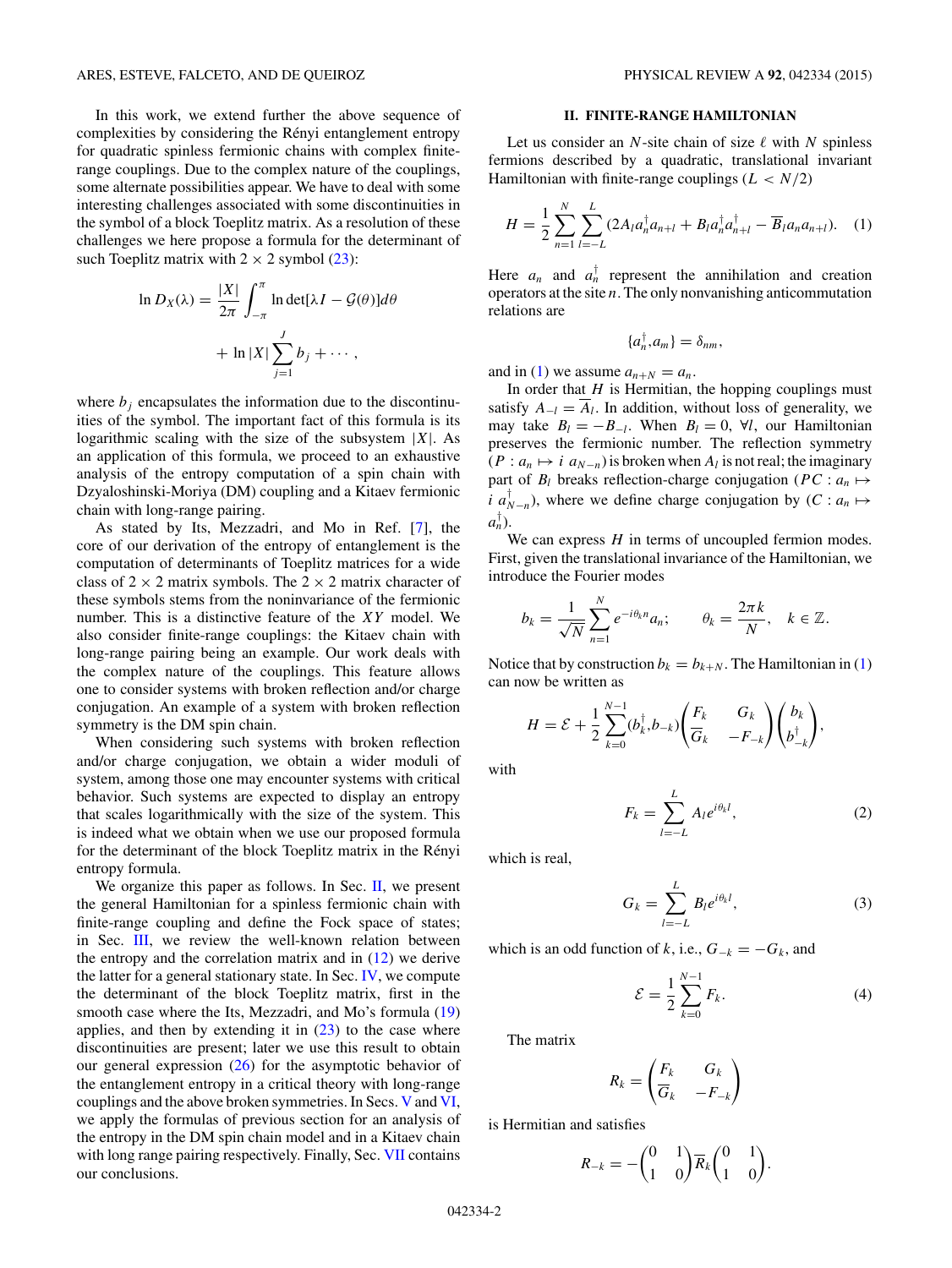<span id="page-1-0"></span>In this work, we extend further the above sequence of complexities by considering the Rényi entanglement entropy for quadratic spinless fermionic chains with complex finiterange couplings. Due to the complex nature of the couplings, some alternate possibilities appear. We have to deal with some interesting challenges associated with some discontinuities in the symbol of a block Toeplitz matrix. As a resolution of these challenges we here propose a formula for the determinant of such Toeplitz matrix with  $2 \times 2$  symbol [\(23\)](#page-5-0):

$$
\ln D_X(\lambda) = \frac{|X|}{2\pi} \int_{-\pi}^{\pi} \ln \det[\lambda I - \mathcal{G}(\theta)] d\theta
$$

$$
+ \ln |X| \sum_{j=1}^{J} b_j + \cdots,
$$

where  $b_j$  encapsulates the information due to the discontinuities of the symbol. The important fact of this formula is its logarithmic scaling with the size of the subsystem |*X*|. As an application of this formula, we proceed to an exhaustive analysis of the entropy computation of a spin chain with Dzyaloshinski-Moriya (DM) coupling and a Kitaev fermionic chain with long-range pairing.

As stated by Its, Mezzadri, and Mo in Ref. [\[7\]](#page-10-0), the core of our derivation of the entropy of entanglement is the computation of determinants of Toeplitz matrices for a wide class of  $2 \times 2$  matrix symbols. The  $2 \times 2$  matrix character of these symbols stems from the noninvariance of the fermionic number. This is a distinctive feature of the *XY* model. We also consider finite-range couplings: the Kitaev chain with long-range pairing being an example. Our work deals with the complex nature of the couplings. This feature allows one to consider systems with broken reflection and/or charge conjugation. An example of a system with broken reflection symmetry is the DM spin chain.

When considering such systems with broken reflection and/or charge conjugation, we obtain a wider moduli of system, among those one may encounter systems with critical behavior. Such systems are expected to display an entropy that scales logarithmically with the size of the system. This is indeed what we obtain when we use our proposed formula for the determinant of the block Toeplitz matrix in the Rényi entropy formula.

We organize this paper as follows. In Sec.  $II$ , we present the general Hamiltonian for a spinless fermionic chain with finite-range coupling and define the Fock space of states; in Sec. [III,](#page-2-0) we review the well-known relation between the entropy and the correlation matrix and in  $(12)$  we derive the latter for a general stationary state. In Sec. [IV,](#page-3-0) we compute the determinant of the block Toeplitz matrix, first in the smooth case where the Its, Mezzadri, and Mo's formula [\(19\)](#page-4-0) applies, and then by extending it in  $(23)$  to the case where discontinuities are present; later we use this result to obtain our general expression  $(26)$  for the asymptotic behavior of the entanglement entropy in a critical theory with long-range couplings and the above broken symmetries. In Secs. [V](#page-5-0) and [VI,](#page-8-0) we apply the formulas of previous section for an analysis of the entropy in the DM spin chain model and in a Kitaev chain with long range pairing respectively. Finally, Sec. [VII](#page-9-0) contains our conclusions.

#### **II. FINITE-RANGE HAMILTONIAN**

Let us consider an *N*-site chain of size  $\ell$  with *N* spinless fermions described by a quadratic, translational invariant Hamiltonian with finite-range couplings  $(L < N/2)$ 

$$
H = \frac{1}{2} \sum_{n=1}^{N} \sum_{l=-L}^{L} (2A_l a_n^{\dagger} a_{n+l} + B_l a_n^{\dagger} a_{n+l}^{\dagger} - \overline{B}_l a_n a_{n+l}). \quad (1)
$$

Here  $a_n$  and  $a_n^{\dagger}$  represent the annihilation and creation operators at the site *n*. The only nonvanishing anticommutation relations are

$$
\{a_n^{\dagger}, a_m\} = \delta_{nm},
$$

and in (1) we assume  $a_{n+N} = a_n$ .

In order that *H* is Hermitian, the hopping couplings must satisfy  $A_{-l} = \overline{A}_l$ . In addition, without loss of generality, we may take  $B_l = -B_{-l}$ . When  $B_l = 0$ ,  $\forall l$ , our Hamiltonian preserves the fermionic number. The reflection symmetry  $(P: a_n \mapsto i \ a_{N-n})$  is broken when  $A_l$  is not real; the imaginary part of  $B_l$  breaks reflection-charge conjugation ( $PC: a_n \mapsto$ *i*  $a_{N-n}^{\dagger}$ ), where we define charge conjugation by  $(C : a_n \mapsto$  $a_n^{\dagger}$ ).

We can express *H* in terms of uncoupled fermion modes. First, given the translational invariance of the Hamiltonian, we introduce the Fourier modes

$$
b_k = \frac{1}{\sqrt{N}} \sum_{n=1}^N e^{-i\theta_k n} a_n; \qquad \theta_k = \frac{2\pi k}{N}, \quad k \in \mathbb{Z}.
$$

Notice that by construction  $b_k = b_{k+N}$ . The Hamiltonian in (1) can now be written as

$$
H = \mathcal{E} + \frac{1}{2} \sum_{k=0}^{N-1} (b_k^{\dagger}, b_{-k}) \begin{pmatrix} F_k & G_k \ \overline{G}_k & -F_{-k} \end{pmatrix} \begin{pmatrix} b_k \\ b_{-k}^{\dagger} \end{pmatrix},
$$

with

$$
F_k = \sum_{l=-L}^{L} A_l e^{i\theta_k l}, \qquad (2)
$$

which is real,

$$
G_k = \sum_{l=-L}^{L} B_l e^{i\theta_k l}, \tag{3}
$$

which is an odd function of *k*, i.e.,  $G_{-k} = -G_k$ , and

$$
\mathcal{E} = \frac{1}{2} \sum_{k=0}^{N-1} F_k.
$$
 (4)

The matrix

$$
R_k = \begin{pmatrix} F_k & G_k \\ \overline{G}_k & -F_{-k} \end{pmatrix}
$$

is Hermitian and satisfies

$$
R_{-k} = -\begin{pmatrix} 0 & 1 \\ 1 & 0 \end{pmatrix} \overline{R}_k \begin{pmatrix} 0 & 1 \\ 1 & 0 \end{pmatrix}.
$$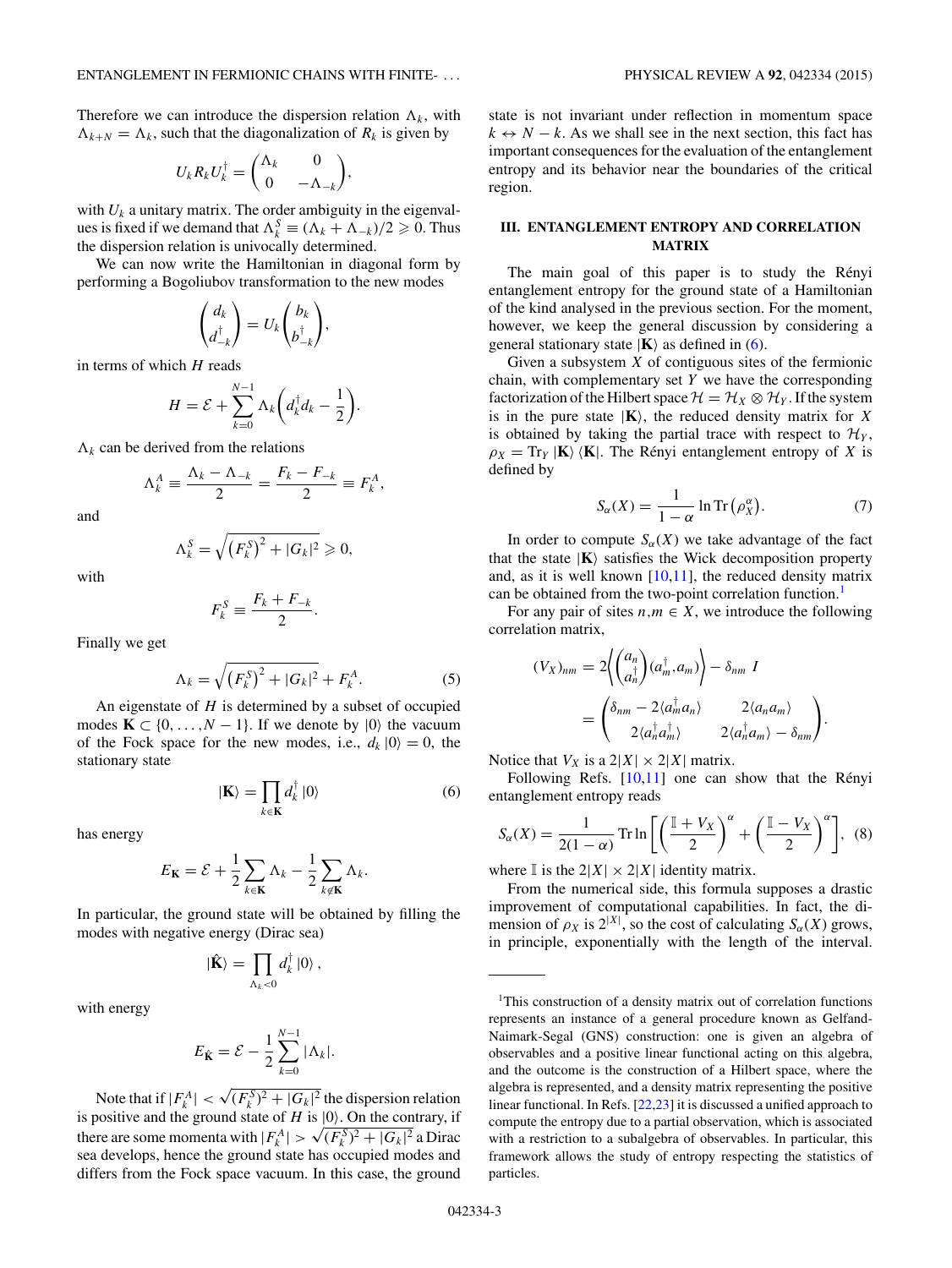<span id="page-2-0"></span>Therefore we can introduce the dispersion relation  $\Lambda_k$ , with  $\Lambda_{k+N} = \Lambda_k$ , such that the diagonalization of  $R_k$  is given by

$$
U_k R_k U_k^{\dagger} = \begin{pmatrix} \Lambda_k & 0 \\ 0 & -\Lambda_{-k} \end{pmatrix},
$$

with  $U_k$  a unitary matrix. The order ambiguity in the eigenvalues is fixed if we demand that  $\Lambda_k^S \equiv (\Lambda_k + \Lambda_{-k})/2 \geq 0$ . Thus the dispersion relation is univocally determined.

We can now write the Hamiltonian in diagonal form by performing a Bogoliubov transformation to the new modes

$$
\begin{pmatrix} d_k \\ d_{-k}^{\dagger} \end{pmatrix} = U_k \begin{pmatrix} b_k \\ b_{-k}^{\dagger} \end{pmatrix},
$$

in terms of which *H* reads

$$
H = \mathcal{E} + \sum_{k=0}^{N-1} \Lambda_k \bigg( d_k^\dagger d_k - \frac{1}{2} \bigg).
$$

 $\Lambda_k$  can be derived from the relations

$$
\Lambda_k^A \equiv \frac{\Lambda_k - \Lambda_{-k}}{2} = \frac{F_k - F_{-k}}{2} \equiv F_k^A,
$$

and

$$
\Lambda_k^S = \sqrt{\left(F_k^S\right)^2 + |G_k|^2} \geqslant 0,
$$

with

$$
F_k^S \equiv \frac{F_k + F_{-k}}{2}.
$$

Finally we get

$$
\Lambda_k = \sqrt{\left(F_k^S\right)^2 + |G_k|^2} + F_k^A. \tag{5}
$$

An eigenstate of *H* is determined by a subset of occupied modes  $\mathbf{K} \subset \{0, \ldots, N-1\}$ . If we denote by  $|0\rangle$  the vacuum of the Fock space for the new modes, i.e.,  $d_k$   $|0\rangle = 0$ , the stationary state

$$
|\mathbf{K}\rangle = \prod_{k \in \mathbf{K}} d_k^{\dagger} |0\rangle \tag{6}
$$

has energy

$$
E_{\mathbf{K}} = \mathcal{E} + \frac{1}{2} \sum_{k \in \mathbf{K}} \Lambda_k - \frac{1}{2} \sum_{k \notin \mathbf{K}} \Lambda_k.
$$

In particular, the ground state will be obtained by filling the modes with negative energy (Dirac sea)

$$
|\hat{\mathbf{K}}\rangle = \prod_{\Lambda_k < 0} d_k^{\dagger} |0\rangle \,,
$$

with energy

$$
E_{\hat{\mathbf{K}}} = \mathcal{E} - \frac{1}{2} \sum_{k=0}^{N-1} |\Lambda_k|.
$$

Note that if  $|F_k^A| < \sqrt{(F_k^S)^2 + |G_k|^2}$  the dispersion relation is positive and the ground state of  $H$  is  $|0\rangle$ . On the contrary, if there are some momenta with  $|F_k^A| > \sqrt{(F_k^S)^2 + |G_k|^2}$  a Dirac sea develops, hence the ground state has occupied modes and differs from the Fock space vacuum. In this case, the ground state is not invariant under reflection in momentum space  $k \leftrightarrow N - k$ . As we shall see in the next section, this fact has important consequences for the evaluation of the entanglement entropy and its behavior near the boundaries of the critical region.

### **III. ENTANGLEMENT ENTROPY AND CORRELATION MATRIX**

The main goal of this paper is to study the Rényi entanglement entropy for the ground state of a Hamiltonian of the kind analysed in the previous section. For the moment, however, we keep the general discussion by considering a general stationary state  $|K\rangle$  as defined in (6).

Given a subsystem *X* of contiguous sites of the fermionic chain, with complementary set *Y* we have the corresponding factorization of the Hilbert space  $\mathcal{H} = \mathcal{H}_X \otimes \mathcal{H}_Y$ . If the system is in the pure state  $|K\rangle$ , the reduced density matrix for *X* is obtained by taking the partial trace with respect to  $\mathcal{H}_Y$ ,  $\rho_X = \text{Tr}_Y |K\rangle \langle K|$ . The Rényi entanglement entropy of *X* is defined by

$$
S_{\alpha}(X) = \frac{1}{1 - \alpha} \ln \operatorname{Tr} \left( \rho_X^{\alpha} \right). \tag{7}
$$

In order to compute  $S_\alpha(X)$  we take advantage of the fact that the state  $|K\rangle$  satisfies the Wick decomposition property and, as it is well known  $[10,11]$ , the reduced density matrix can be obtained from the two-point correlation function.<sup>1</sup>

For any pair of sites  $n,m \in X$ , we introduce the following correlation matrix,

$$
(V_X)_{nm} = 2\left\langle \begin{pmatrix} a_n \\ a_n^{\dagger} \end{pmatrix} (a_m^{\dagger}, a_m) \right\rangle - \delta_{nm} I
$$
  
= 
$$
\begin{pmatrix} \delta_{nm} - 2 \langle a_m^{\dagger} a_n \rangle & 2 \langle a_n a_m \rangle \\ 2 \langle a_n^{\dagger} a_m^{\dagger} \rangle & 2 \langle a_n^{\dagger} a_m \rangle - \delta_{nm} \end{pmatrix}.
$$

Notice that  $V_X$  is a  $2|X| \times 2|X|$  matrix.

Following Refs.  $[10,11]$  one can show that the Rényi entanglement entropy reads

$$
S_{\alpha}(X) = \frac{1}{2(1-\alpha)} \operatorname{Tr} \ln \left[ \left( \frac{\mathbb{I} + V_X}{2} \right)^{\alpha} + \left( \frac{\mathbb{I} - V_X}{2} \right)^{\alpha} \right], \tag{8}
$$

where I is the  $2|X| \times 2|X|$  identity matrix.

From the numerical side, this formula supposes a drastic improvement of computational capabilities. In fact, the dimension of  $\rho_X$  is  $2^{|X|}$ , so the cost of calculating  $S_\alpha(X)$  grows, in principle, exponentially with the length of the interval.

<sup>1</sup>This construction of a density matrix out of correlation functions represents an instance of a general procedure known as Gelfand-Naimark-Segal (GNS) construction: one is given an algebra of observables and a positive linear functional acting on this algebra, and the outcome is the construction of a Hilbert space, where the algebra is represented, and a density matrix representing the positive linear functional. In Refs. [\[22,23\]](#page-10-0) it is discussed a unified approach to compute the entropy due to a partial observation, which is associated with a restriction to a subalgebra of observables. In particular, this framework allows the study of entropy respecting the statistics of particles.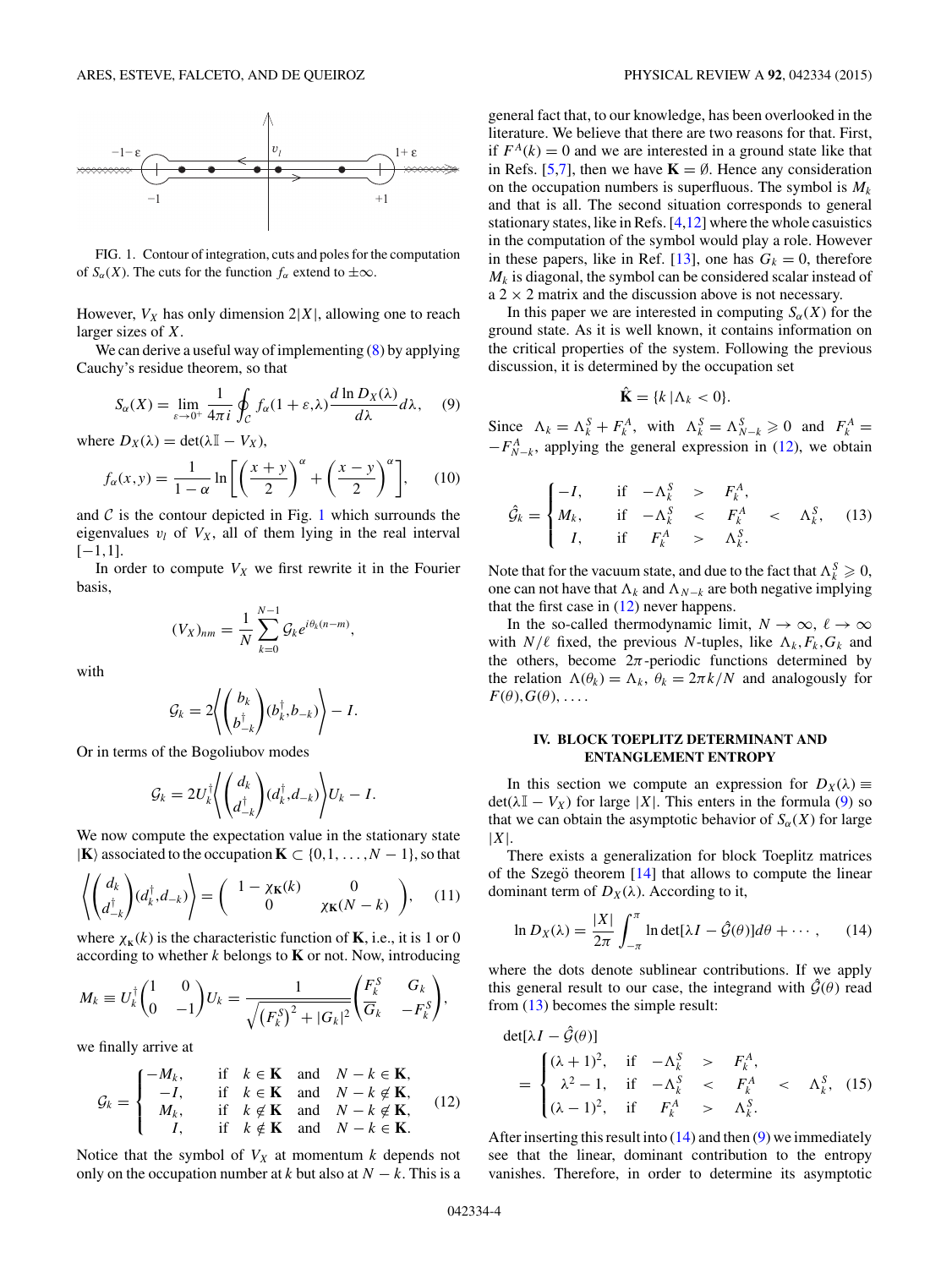<span id="page-3-0"></span>

FIG. 1. Contour of integration, cuts and poles for the computation of *S<sub>α</sub>*(*X*). The cuts for the function  $f_\alpha$  extend to  $\pm \infty$ .

However,  $V_X$  has only dimension  $2|X|$ , allowing one to reach larger sizes of *X*.

We can derive a useful way of implementing  $(8)$  by applying Cauchy's residue theorem, so that

$$
S_{\alpha}(X) = \lim_{\varepsilon \to 0^+} \frac{1}{4\pi i} \oint_{\mathcal{C}} f_{\alpha}(1 + \varepsilon, \lambda) \frac{d \ln D_X(\lambda)}{d\lambda} d\lambda, \quad (9)
$$

where  $D_X(\lambda) = \det(\lambda \mathbb{I} - V_X)$ ,

$$
f_{\alpha}(x,y) = \frac{1}{1-\alpha} \ln \left[ \left( \frac{x+y}{2} \right)^{\alpha} + \left( \frac{x-y}{2} \right)^{\alpha} \right], \quad (10)
$$

and  $C$  is the contour depicted in Fig. 1 which surrounds the eigenvalues  $v_l$  of  $V_X$ , all of them lying in the real interval [−1*,*1].

In order to compute  $V_X$  we first rewrite it in the Fourier basis,

$$
(V_X)_{nm} = \frac{1}{N} \sum_{k=0}^{N-1} \mathcal{G}_k e^{i\theta_k (n-m)}
$$

*,*

with

$$
\mathcal{G}_k = 2 \Biggl\langle \begin{pmatrix} b_k \\ b_{-k}^{\dagger} \end{pmatrix} (b_k^{\dagger}, b_{-k}) \Biggr\rangle - I.
$$

Or in terms of the Bogoliubov modes

$$
\mathcal{G}_k = 2U_k^{\dagger} \Biggl\langle \begin{pmatrix} d_k \\ d_{-k}^{\dagger} \end{pmatrix} (d_k^{\dagger}, d_{-k}) \Biggr\rangle U_k - I.
$$

We now compute the expectation value in the stationary state  $|{\bf K}\rangle$  associated to the occupation  ${\bf K}\subset\{0,1,\ldots,N-1\}$ , so that

$$
\left\langle \begin{pmatrix} d_k \\ d_{-k}^{\dagger} \end{pmatrix} (d_k^{\dagger}, d_{-k}) \right\rangle = \begin{pmatrix} 1 - \chi_K(k) & 0 \\ 0 & \chi_K(N - k) \end{pmatrix}, \quad (11)
$$

where  $\chi_{\mathbf{k}}(k)$  is the characteristic function of **K**, i.e., it is 1 or 0 according to whether *k* belongs to **K** or not. Now, introducing

$$
M_k \equiv U_k^{\dagger} \begin{pmatrix} 1 & 0 \\ 0 & -1 \end{pmatrix} U_k = \frac{1}{\sqrt{\left(F_k^S\right)^2 + |G_k|^2}} \begin{pmatrix} F_k^S & G_k \\ \overline{G}_k & -F_k^S \end{pmatrix},
$$

we finally arrive at

$$
\mathcal{G}_k = \begin{cases}\n-M_k, & \text{if } k \in \mathbf{K} \text{ and } N - k \in \mathbf{K}, \\
-I, & \text{if } k \in \mathbf{K} \text{ and } N - k \notin \mathbf{K}, \\
M_k, & \text{if } k \notin \mathbf{K} \text{ and } N - k \notin \mathbf{K}, \\
I, & \text{if } k \notin \mathbf{K} \text{ and } N - k \in \mathbf{K}.\n\end{cases} \tag{12}
$$

Notice that the symbol of  $V_X$  at momentum  $k$  depends not only on the occupation number at *k* but also at  $N - k$ . This is a

general fact that, to our knowledge, has been overlooked in the literature. We believe that there are two reasons for that. First, if  $F^A(k) = 0$  and we are interested in a ground state like that in Refs. [\[5,7\]](#page-10-0), then we have  $\mathbf{K} = \emptyset$ . Hence any consideration on the occupation numbers is superfluous. The symbol is  $M_k$ and that is all. The second situation corresponds to general stationary states, like in Refs.  $[4,12]$  where the whole casuistics in the computation of the symbol would play a role. However in these papers, like in Ref. [\[13\]](#page-10-0), one has  $G_k = 0$ , therefore  $M_k$  is diagonal, the symbol can be considered scalar instead of  $a$  2  $\times$  2 matrix and the discussion above is not necessary.

In this paper we are interested in computing  $S_{\alpha}(X)$  for the ground state. As it is well known, it contains information on the critical properties of the system. Following the previous discussion, it is determined by the occupation set

$$
\hat{\mathbf{K}} = \{k \, | \Lambda_k < 0\}.
$$

Since  $\Lambda_k = \Lambda_k^S + F_k^A$ , with  $\Lambda_k^S = \Lambda_{N-k}^S \geq 0$  and  $F_k^A =$  $-F_{N-k}^A$ , applying the general expression in (12), we obtain

$$
\hat{\mathcal{G}}_k = \begin{cases}\n-I, & \text{if } -\Lambda_k^S > F_k^A, \\
M_k, & \text{if } -\Lambda_k^S < F_k^A < \Lambda_k^S, \\
I, & \text{if } F_k^A > \Lambda_k^S.\n\end{cases} \tag{13}
$$

Note that for the vacuum state, and due to the fact that  $\Lambda_k^S \geq 0$ , one can not have that  $\Lambda_k$  and  $\Lambda_{N-k}$  are both negative implying that the first case in  $(12)$  never happens.

In the so-called thermodynamic limit,  $N \to \infty$ ,  $\ell \to \infty$ with  $N/\ell$  fixed, the previous *N*-tuples, like  $\Lambda_k$ ,  $F_k$ ,  $G_k$  and the others, become  $2\pi$ -periodic functions determined by the relation  $\Lambda(\theta_k) = \Lambda_k$ ,  $\theta_k = 2\pi k/N$  and analogously for  $F(\theta), G(\theta), \ldots$ .

#### **IV. BLOCK TOEPLITZ DETERMINANT AND ENTANGLEMENT ENTROPY**

In this section we compute an expression for  $D_X(\lambda) \equiv$  $det(\lambda I - V_X)$  for large |X|. This enters in the formula (9) so that we can obtain the asymptotic behavior of  $S_\alpha(X)$  for large |*X*|.

There exists a generalization for block Toeplitz matrices of the Szegö theorem  $[14]$  $[14]$  that allows to compute the linear dominant term of  $D_X(\lambda)$ . According to it,

$$
\ln D_X(\lambda) = \frac{|X|}{2\pi} \int_{-\pi}^{\pi} \ln \det[\lambda I - \hat{\mathcal{G}}(\theta)] d\theta + \cdots, \qquad (14)
$$

where the dots denote sublinear contributions. If we apply this general result to our case, the integrand with  $\hat{G}(\theta)$  read from (13) becomes the simple result:

$$
\det[\lambda I - \hat{\mathcal{G}}(\theta)]
$$
\n
$$
= \begin{cases}\n(\lambda + 1)^2, & \text{if } -\Lambda_k^S > F_k^A, \\
\lambda^2 - 1, & \text{if } -\Lambda_k^S < F_k^A < \Lambda_k^S, \\
(\lambda - 1)^2, & \text{if } F_k^A > \Lambda_k^S.\n\end{cases}
$$
\n(15)

After inserting this result into  $(14)$  and then  $(9)$  we immediately see that the linear, dominant contribution to the entropy vanishes. Therefore, in order to determine its asymptotic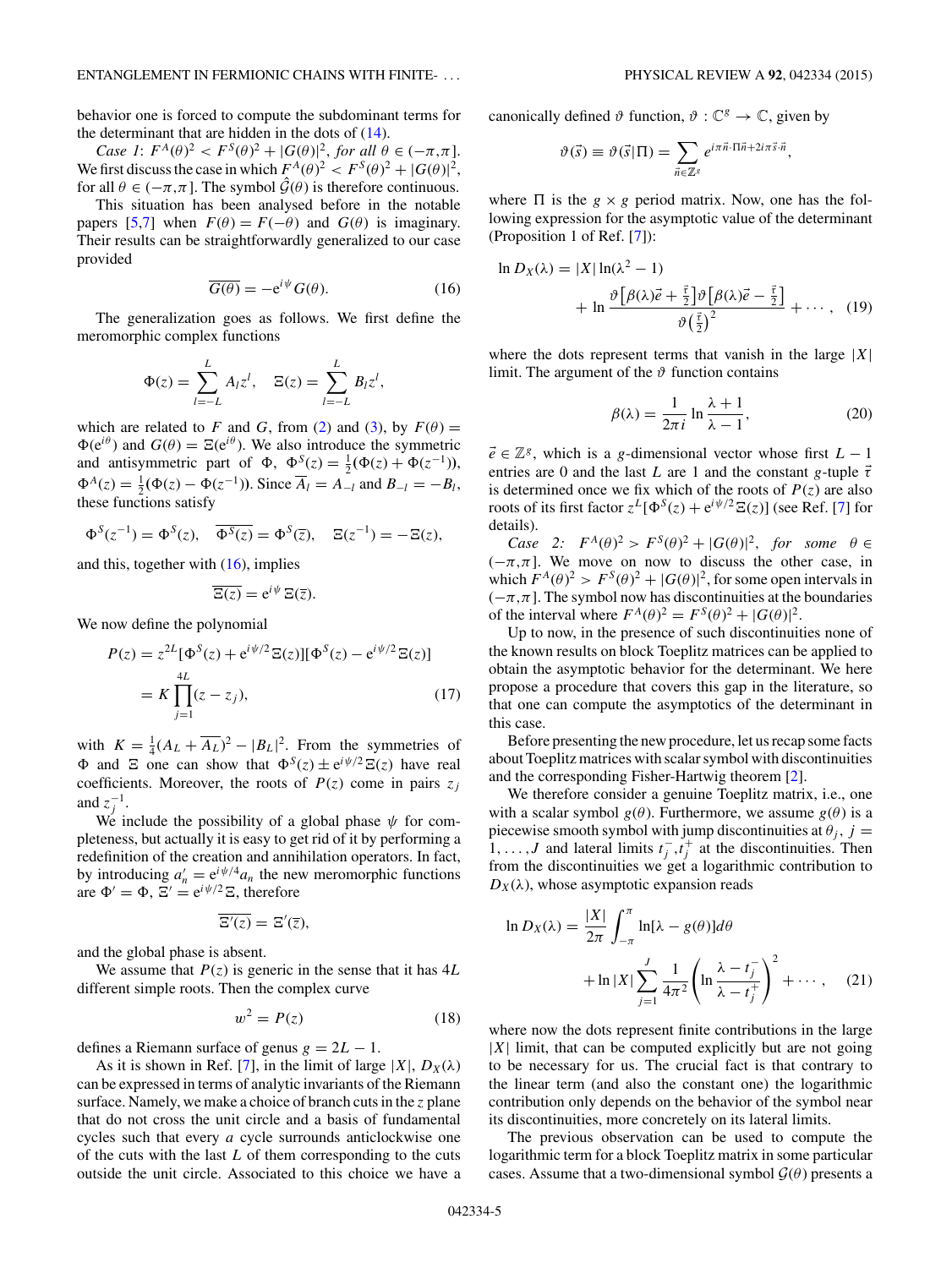<span id="page-4-0"></span>behavior one is forced to compute the subdominant terms for the determinant that are hidden in the dots of  $(14)$ .

*Case 1*:  $F^A(\theta)^2 < F^S(\theta)^2 + |G(\theta)|^2$ , for all  $\theta \in (-\pi, \pi]$ . We first discuss the case in which  $F^A(\theta)^2 < F^S(\theta)^2 + |G(\theta)|^2$ , for all  $\theta \in (-\pi, \pi]$ . The symbol  $\hat{\mathcal{G}}(\theta)$  is therefore continuous.

This situation has been analysed before in the notable papers [\[5,7\]](#page-10-0) when  $F(\theta) = F(-\theta)$  and  $G(\theta)$  is imaginary. Their results can be straightforwardly generalized to our case provided

$$
\overline{G(\theta)} = -e^{i\psi} G(\theta). \tag{16}
$$

The generalization goes as follows. We first define the meromorphic complex functions

$$
\Phi(z) = \sum_{l=-L}^{L} A_l z^l, \quad \Xi(z) = \sum_{l=-L}^{L} B_l z^l,
$$

which are related to *F* and *G*, from [\(2\)](#page-1-0) and [\(3\)](#page-1-0), by  $F(\theta) =$  $\Phi(e^{i\theta})$  and  $G(\theta) = \mathbb{E}(e^{i\theta})$ . We also introduce the symmetric and antisymmetric part of  $\Phi$ ,  $\Phi^S(z) = \frac{1}{2}(\Phi(z) + \Phi(z^{-1}))$ ,  $\Phi^{A}(z) = \frac{1}{2}(\Phi(z) - \Phi(z^{-1}))$ . Since  $\overline{A}_{l} = A_{-l}$  and  $B_{-l} = -B_{l}$ , these functions satisfy

$$
\Phi^{S}(z^{-1}) = \Phi^{S}(z), \quad \overline{\Phi^{S}(z)} = \Phi^{S}(\overline{z}), \quad \Xi(z^{-1}) = -\Xi(z),
$$

and this, together with  $(16)$ , implies

$$
\overline{\Xi(z)} = e^{i\psi} \Xi(\overline{z}).
$$

We now define the polynomial

$$
P(z) = z^{2L} [\Phi^{S}(z) + e^{i\psi/2} \Xi(z)][\Phi^{S}(z) - e^{i\psi/2} \Xi(z)]
$$
  
=  $K \prod_{j=1}^{4L} (z - z_j),$  (17)

with  $K = \frac{1}{4}(A_L + \overline{A_L})^2 - |B_L|^2$ . From the symmetries of **Φ** and  $\Xi$  one can show that  $Φ<sup>S</sup>(z) ± e<sup>iψ/2</sup> Ξ(z)$  have real coefficients. Moreover, the roots of  $P(z)$  come in pairs  $z_j$ and  $z_j^{-1}$ .

We include the possibility of a global phase  $\psi$  for completeness, but actually it is easy to get rid of it by performing a redefinition of the creation and annihilation operators. In fact, by introducing  $a'_n = e^{i\psi/4}a_n$  the new meromorphic functions are  $\Phi' = \Phi$ ,  $\Xi' = e^{i\psi/2} \Xi$ , therefore

$$
\overline{\Xi'(z)} = \Xi'(\overline{z}),
$$

and the global phase is absent.

We assume that  $P(z)$  is generic in the sense that it has  $4L$ different simple roots. Then the complex curve

$$
w^2 = P(z) \tag{18}
$$

defines a Riemann surface of genus  $g = 2L - 1$ .

As it is shown in Ref. [\[7\]](#page-10-0), in the limit of large  $|X|$ ,  $D_X(\lambda)$ can be expressed in terms of analytic invariants of the Riemann surface. Namely, we make a choice of branch cuts in the *z* plane that do not cross the unit circle and a basis of fundamental cycles such that every *a* cycle surrounds anticlockwise one of the cuts with the last *L* of them corresponding to the cuts outside the unit circle. Associated to this choice we have a canonically defined  $\vartheta$  function,  $\vartheta : \mathbb{C}^g \to \mathbb{C}$ , given by

$$
\vartheta(\vec{s}) \equiv \vartheta(\vec{s}|\Pi) = \sum_{\vec{n}\in\mathbb{Z}^g} e^{i\pi\vec{n}\cdot\Pi\vec{n} + 2i\pi\vec{s}\cdot\vec{n}},
$$

where  $\Pi$  is the  $g \times g$  period matrix. Now, one has the following expression for the asymptotic value of the determinant (Proposition 1 of Ref. [\[7\]](#page-10-0)):

$$
\ln D_X(\lambda) = |X| \ln(\lambda^2 - 1)
$$
  
+ 
$$
\ln \frac{\vartheta \left[ \beta(\lambda) \vec{e} + \frac{\vec{r}}{2} \right] \vartheta \left[ \beta(\lambda) \vec{e} - \frac{\vec{r}}{2} \right]}{\vartheta \left( \frac{\vec{r}}{2} \right)^2} + \cdots, \quad (19)
$$

where the dots represent terms that vanish in the large  $|X|$ limit. The argument of the  $\vartheta$  function contains

$$
\beta(\lambda) = \frac{1}{2\pi i} \ln \frac{\lambda + 1}{\lambda - 1},
$$
\n(20)

 $\vec{e} \in \mathbb{Z}^g$ , which is a *g*-dimensional vector whose first  $L - 1$ entries are 0 and the last *L* are 1 and the constant *g*-tuple  $\vec{\tau}$ is determined once we fix which of the roots of  $P(z)$  are also roots of its first factor  $z^L[\Phi^S(z) + e^{i\psi/2} \Xi(z)]$  (see Ref. [\[7\]](#page-10-0) for details).

*Case* 2:  $F^A(\theta)^2 > F^S(\theta)^2 + |G(\theta)|^2$ , *for some*  $\theta \in$  $(-\pi,\pi]$ . We move on now to discuss the other case, in which  $F^{A}(\theta)^{2} > F^{S}(\theta)^{2} + |G(\theta)|^{2}$ , for some open intervals in  $(-\pi,\pi]$ . The symbol now has discontinuities at the boundaries of the interval where  $F^A(\theta)^2 = F^S(\theta)^2 + |G(\theta)|^2$ .

Up to now, in the presence of such discontinuities none of the known results on block Toeplitz matrices can be applied to obtain the asymptotic behavior for the determinant. We here propose a procedure that covers this gap in the literature, so that one can compute the asymptotics of the determinant in this case.

Before presenting the new procedure, let us recap some facts about Toeplitz matrices with scalar symbol with discontinuities and the corresponding Fisher-Hartwig theorem [\[2\]](#page-10-0).

We therefore consider a genuine Toeplitz matrix, i.e., one with a scalar symbol  $g(\theta)$ . Furthermore, we assume  $g(\theta)$  is a piecewise smooth symbol with jump discontinuities at  $\theta_i$ ,  $j =$ 1, ..., *J* and lateral limits  $t_j^-$ ,  $t_j^+$  at the discontinuities. Then from the discontinuities we get a logarithmic contribution to  $D_X(\lambda)$ , whose asymptotic expansion reads

$$
\ln D_X(\lambda) = \frac{|X|}{2\pi} \int_{-\pi}^{\pi} \ln[\lambda - g(\theta)] d\theta
$$
  
+ 
$$
\ln |X| \sum_{j=1}^{J} \frac{1}{4\pi^2} \left( \ln \frac{\lambda - t_j^{-}}{\lambda - t_j^{+}} \right)^2 + \cdots, \quad (21)
$$

where now the dots represent finite contributions in the large  $|X|$  limit, that can be computed explicitly but are not going to be necessary for us. The crucial fact is that contrary to the linear term (and also the constant one) the logarithmic contribution only depends on the behavior of the symbol near its discontinuities, more concretely on its lateral limits.

The previous observation can be used to compute the logarithmic term for a block Toeplitz matrix in some particular cases. Assume that a two-dimensional symbol  $\mathcal{G}(\theta)$  presents a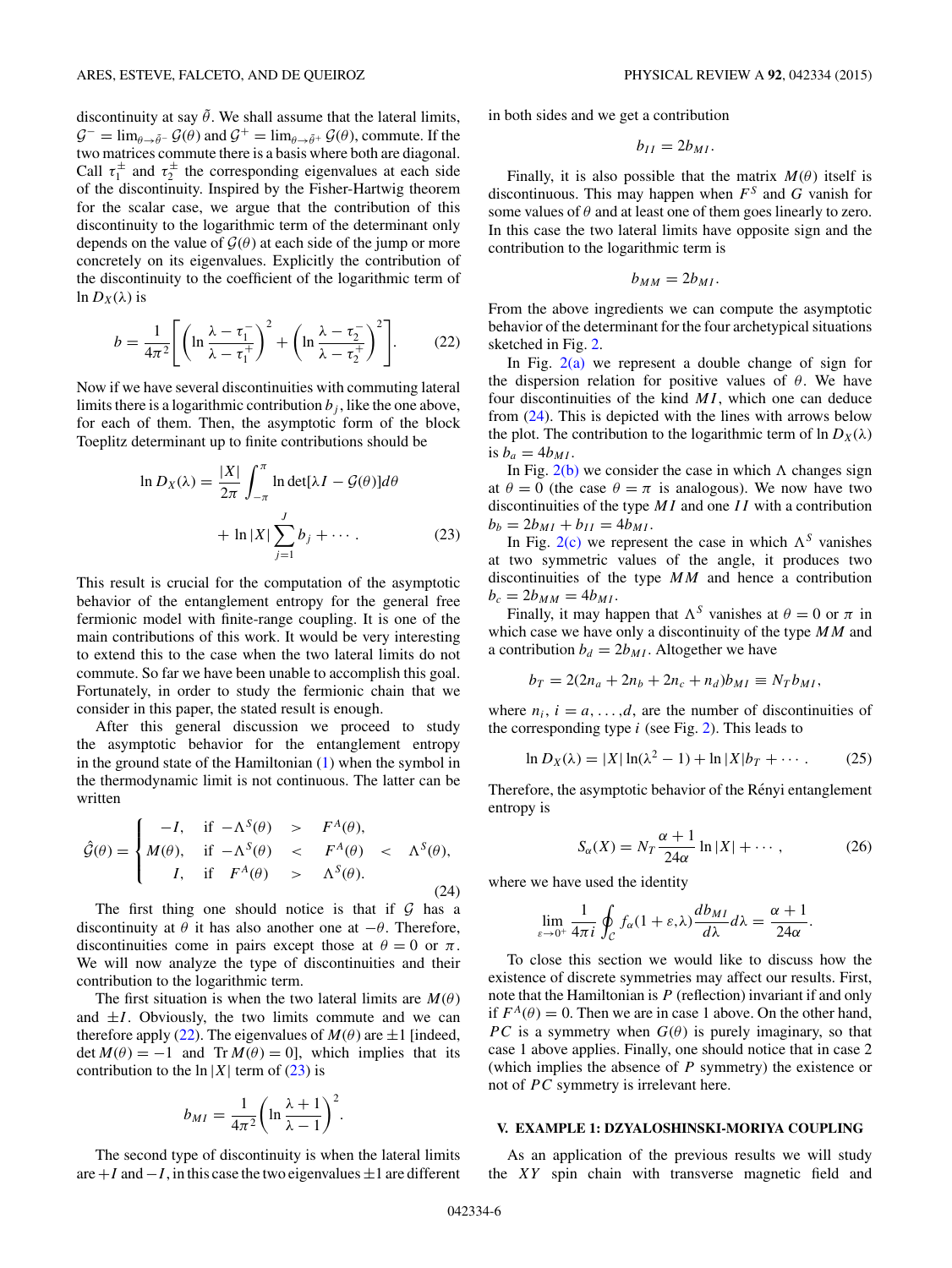<span id="page-5-0"></span>discontinuity at say  $\tilde{\theta}$ . We shall assume that the lateral limits,  $\mathcal{G}^-$  = lim<sub> $\theta \rightarrow \tilde{\theta}^-$ </sub>  $\mathcal{G}(\theta)$  and  $\mathcal{G}^+$  = lim $_{\theta \rightarrow \tilde{\theta}^+}$   $\mathcal{G}(\theta)$ , commute. If the two matrices commute there is a basis where both are diagonal. Call  $\tau_1^{\pm}$  and  $\tau_2^{\pm}$  the corresponding eigenvalues at each side of the discontinuity. Inspired by the Fisher-Hartwig theorem for the scalar case, we argue that the contribution of this discontinuity to the logarithmic term of the determinant only depends on the value of  $\mathcal{G}(\theta)$  at each side of the jump or more concretely on its eigenvalues. Explicitly the contribution of the discontinuity to the coefficient of the logarithmic term of ln  $D_X(\lambda)$  is

$$
b = \frac{1}{4\pi^2} \left[ \left( \ln \frac{\lambda - \tau_1^-}{\lambda - \tau_1^+} \right)^2 + \left( \ln \frac{\lambda - \tau_2^-}{\lambda - \tau_2^+} \right)^2 \right].
$$
 (22)

Now if we have several discontinuities with commuting lateral limits there is a logarithmic contribution  $b_i$ , like the one above, for each of them. Then, the asymptotic form of the block Toeplitz determinant up to finite contributions should be

$$
\ln D_X(\lambda) = \frac{|X|}{2\pi} \int_{-\pi}^{\pi} \ln \det[\lambda I - \mathcal{G}(\theta)] d\theta
$$

$$
+ \ln |X| \sum_{j=1}^{J} b_j + \cdots. \tag{23}
$$

This result is crucial for the computation of the asymptotic behavior of the entanglement entropy for the general free fermionic model with finite-range coupling. It is one of the main contributions of this work. It would be very interesting to extend this to the case when the two lateral limits do not commute. So far we have been unable to accomplish this goal. Fortunately, in order to study the fermionic chain that we consider in this paper, the stated result is enough.

After this general discussion we proceed to study the asymptotic behavior for the entanglement entropy in the ground state of the Hamiltonian [\(1\)](#page-1-0) when the symbol in the thermodynamic limit is not continuous. The latter can be written

$$
\hat{\mathcal{G}}(\theta) = \begin{cases}\n-I, & \text{if } -\Lambda^S(\theta) > F^A(\theta), \\
M(\theta), & \text{if } -\Lambda^S(\theta) < F^A(\theta) < \Lambda^S(\theta), \\
I, & \text{if } F^A(\theta) > \Lambda^S(\theta).\n\end{cases}
$$
\n(24)

The first thing one should notice is that if  $G$  has a discontinuity at  $\theta$  it has also another one at  $-\theta$ . Therefore, discontinuities come in pairs except those at  $\theta = 0$  or  $\pi$ . We will now analyze the type of discontinuities and their contribution to the logarithmic term.

The first situation is when the two lateral limits are  $M(\theta)$ and  $\pm I$ . Obviously, the two limits commute and we can therefore apply (22). The eigenvalues of  $M(\theta)$  are  $\pm 1$  [indeed, det  $M(\theta) = -1$  and  $Tr M(\theta) = 0$ , which implies that its contribution to the  $\ln |X|$  term of (23) is

$$
b_{MI} = \frac{1}{4\pi^2} \left( \ln \frac{\lambda + 1}{\lambda - 1} \right)^2.
$$

The second type of discontinuity is when the lateral limits are  $+I$  and  $-I$ , in this case the two eigenvalues  $\pm 1$  are different in both sides and we get a contribution

$$
b_{II}=2b_{MI}.
$$

Finally, it is also possible that the matrix  $M(\theta)$  itself is discontinuous. This may happen when *F<sup>S</sup>* and *G* vanish for some values of  $\theta$  and at least one of them goes linearly to zero. In this case the two lateral limits have opposite sign and the contribution to the logarithmic term is

$$
b_{MM}=2b_{MI}.
$$

From the above ingredients we can compute the asymptotic behavior of the determinant for the four archetypical situations sketched in Fig. [2.](#page-6-0)

In Fig.  $2(a)$  we represent a double change of sign for the dispersion relation for positive values of *θ*. We have four discontinuities of the kind *MI*, which one can deduce from (24). This is depicted with the lines with arrows below the plot. The contribution to the logarithmic term of  $\ln D_X(\lambda)$ is  $b_a = 4b_{MI}$ .

In Fig.  $2(b)$  we consider the case in which  $\Lambda$  changes sign at  $\theta = 0$  (the case  $\theta = \pi$  is analogous). We now have two discontinuities of the type *MI* and one *II* with a contribution  $b_b = 2b_{MI} + b_{II} = 4b_{MI}.$ 

In Fig.  $2(c)$  we represent the case in which  $\Lambda^S$  vanishes at two symmetric values of the angle, it produces two discontinuities of the type *MM* and hence a contribution  $b_c = 2b_{MM} = 4b_{MI}$ .

Finally, it may happen that  $\Lambda^S$  vanishes at  $\theta = 0$  or  $\pi$  in which case we have only a discontinuity of the type *MM* and a contribution  $b_d = 2b_{MI}$ . Altogether we have

$$
b_T = 2(2n_a + 2n_b + 2n_c + n_d)b_{MI} \equiv N_T b_{MI},
$$

where  $n_i$ ,  $i = a, \ldots, d$ , are the number of discontinuities of the corresponding type *i* (see Fig. [2\)](#page-6-0). This leads to

$$
\ln D_X(\lambda) = |X| \ln(\lambda^2 - 1) + \ln |X| b_T + \cdots
$$
 (25)

Therefore, the asymptotic behavior of the Rényi entanglement entropy is

$$
S_{\alpha}(X) = N_T \frac{\alpha + 1}{24\alpha} \ln|X| + \cdots, \qquad (26)
$$

where we have used the identity

$$
\lim_{\varepsilon \to 0^+} \frac{1}{4\pi i} \oint_C f_\alpha (1 + \varepsilon, \lambda) \frac{db_{MI}}{d\lambda} d\lambda = \frac{\alpha + 1}{24\alpha}.
$$

To close this section we would like to discuss how the existence of discrete symmetries may affect our results. First, note that the Hamiltonian is *P* (reflection) invariant if and only if  $F^A(\theta) = 0$ . Then we are in case 1 above. On the other hand, *PC* is a symmetry when  $G(\theta)$  is purely imaginary, so that case 1 above applies. Finally, one should notice that in case 2 (which implies the absence of *P* symmetry) the existence or not of *PC* symmetry is irrelevant here.

#### **V. EXAMPLE 1: DZYALOSHINSKI-MORIYA COUPLING**

As an application of the previous results we will study the *XY* spin chain with transverse magnetic field and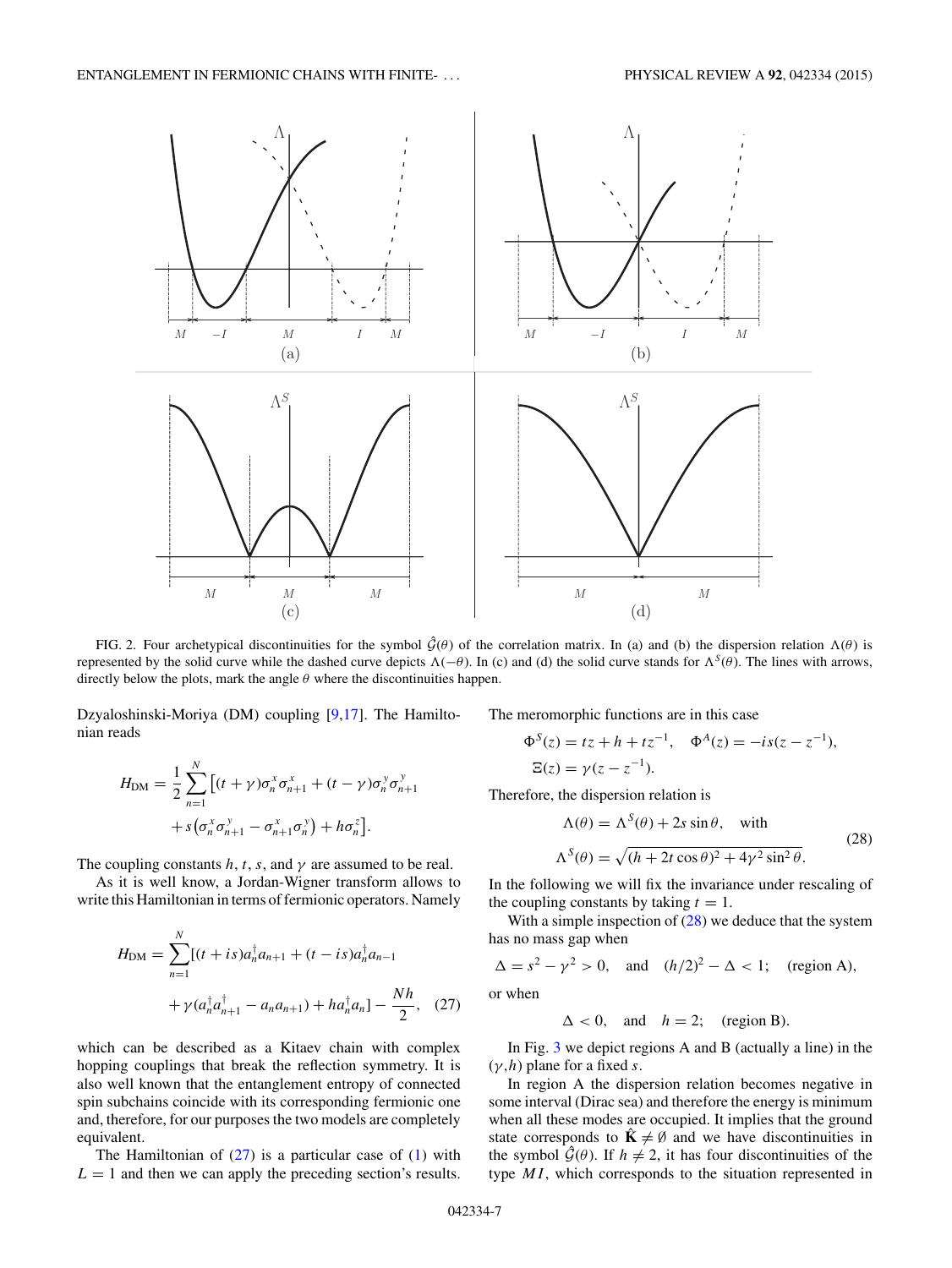<span id="page-6-0"></span>

FIG. 2. Four archetypical discontinuities for the symbol  $\hat{\mathcal{G}}(\theta)$  of the correlation matrix. In (a) and (b) the dispersion relation  $\Lambda(\theta)$  is represented by the solid curve while the dashed curve depicts  $Λ(−θ)$ . In (c) and (d) the solid curve stands for  $Λ<sup>S</sup>(θ)$ . The lines with arrows, directly below the plots, mark the angle *θ* where the discontinuities happen.

Dzyaloshinski-Moriya (DM) coupling [\[9,17\]](#page-10-0). The Hamiltonian reads

$$
H_{\rm DM} = \frac{1}{2} \sum_{n=1}^{N} \left[ (t + \gamma) \sigma_n^x \sigma_{n+1}^x + (t - \gamma) \sigma_n^y \sigma_{n+1}^y + s \left( \sigma_n^x \sigma_{n+1}^y - \sigma_{n+1}^x \sigma_n^y \right) + h \sigma_n^z \right].
$$

The coupling constants  $h, t, s$ , and  $\gamma$  are assumed to be real.

As it is well know, a Jordan-Wigner transform allows to write this Hamiltonian in terms of fermionic operators. Namely

$$
H_{\rm DM} = \sum_{n=1}^{N} [(t + is)a_n^{\dagger} a_{n+1} + (t - is)a_n^{\dagger} a_{n-1} + \gamma (a_n^{\dagger} a_{n+1}^{\dagger} - a_n a_{n+1}) + h a_n^{\dagger} a_n] - \frac{Nh}{2}, \quad (27)
$$

which can be described as a Kitaev chain with complex hopping couplings that break the reflection symmetry. It is also well known that the entanglement entropy of connected spin subchains coincide with its corresponding fermionic one and, therefore, for our purposes the two models are completely equivalent.

The Hamiltonian of  $(27)$  is a particular case of  $(1)$  with  $L = 1$  and then we can apply the preceding section's results.

The meromorphic functions are in this case

$$
\Phi^{S}(z) = tz + h + tz^{-1}, \quad \Phi^{A}(z) = -is(z - z^{-1}),
$$
  
 
$$
\Xi(z) = \gamma(z - z^{-1}).
$$

Therefore, the dispersion relation is

$$
\Lambda(\theta) = \Lambda^{S}(\theta) + 2s \sin \theta, \text{ with}
$$

$$
\Lambda^{S}(\theta) = \sqrt{(h + 2t \cos \theta)^{2} + 4\gamma^{2} \sin^{2} \theta}.
$$
(28)

In the following we will fix the invariance under rescaling of the coupling constants by taking  $t = 1$ .

With a simple inspection of  $(28)$  we deduce that the system has no mass gap when

$$
\Delta = s^2 - \gamma^2 > 0
$$
, and  $(h/2)^2 - \Delta < 1$ ; (region A),

or when

$$
\Delta < 0, \quad \text{and} \quad h = 2; \quad \text{(region B)}.
$$

In Fig. [3](#page-7-0) we depict regions A and B (actually a line) in the (*γ,h*) plane for a fixed *s*.

In region A the dispersion relation becomes negative in some interval (Dirac sea) and therefore the energy is minimum when all these modes are occupied. It implies that the ground state corresponds to  $\hat{\mathbf{K}} \neq \emptyset$  and we have discontinuities in the symbol  $\hat{\mathcal{G}}(\theta)$ . If  $h \neq 2$ , it has four discontinuities of the type *MI*, which corresponds to the situation represented in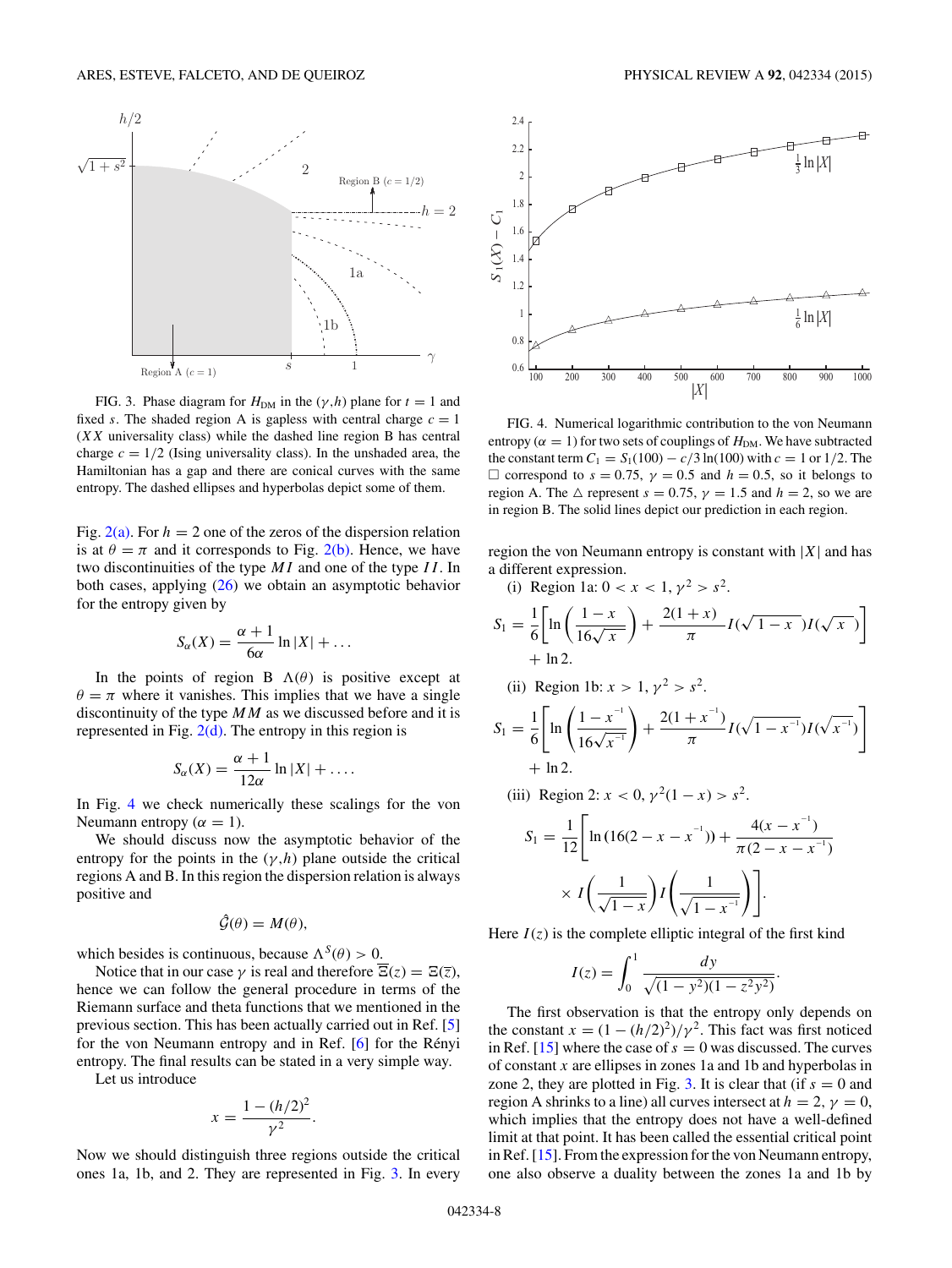<span id="page-7-0"></span>

FIG. 3. Phase diagram for  $H_{DM}$  in the ( $\gamma$ ,h) plane for  $t = 1$  and fixed *s*. The shaded region A is gapless with central charge  $c = 1$ (*XX* universality class) while the dashed line region B has central charge  $c = 1/2$  (Ising universality class). In the unshaded area, the Hamiltonian has a gap and there are conical curves with the same entropy. The dashed ellipses and hyperbolas depict some of them.

Fig.  $2(a)$ . For  $h = 2$  one of the zeros of the dispersion relation is at  $\theta = \pi$  and it corresponds to Fig. [2\(b\).](#page-6-0) Hence, we have two discontinuities of the type *MI* and one of the type *II* . In both cases, applying [\(26\)](#page-5-0) we obtain an asymptotic behavior for the entropy given by

$$
S_{\alpha}(X) = \frac{\alpha + 1}{6\alpha} \ln |X| + \dots
$$

In the points of region B  $\Lambda(\theta)$  is positive except at  $\theta = \pi$  where it vanishes. This implies that we have a single discontinuity of the type *MM* as we discussed before and it is represented in Fig.  $2(d)$ . The entropy in this region is

$$
S_{\alpha}(X) = \frac{\alpha + 1}{12\alpha} \ln |X| + \dots
$$

In Fig. 4 we check numerically these scalings for the von Neumann entropy ( $\alpha = 1$ ).

We should discuss now the asymptotic behavior of the entropy for the points in the  $(\gamma, h)$  plane outside the critical regions A and B. In this region the dispersion relation is always positive and

$$
\hat{\mathcal{G}}(\theta) = M(\theta),
$$

which besides is continuous, because  $\Lambda^{S}(\theta) > 0$ .

Notice that in our case  $\gamma$  is real and therefore  $\overline{E}(z) = E(\overline{z}),$ hence we can follow the general procedure in terms of the Riemann surface and theta functions that we mentioned in the previous section. This has been actually carried out in Ref. [\[5\]](#page-10-0) for the von Neumann entropy and in Ref. [\[6\]](#page-10-0) for the Rényi entropy. The final results can be stated in a very simple way.

Let us introduce

$$
x = \frac{1 - (h/2)^2}{\gamma^2}.
$$

Now we should distinguish three regions outside the critical ones 1a, 1b, and 2. They are represented in Fig. 3. In every



FIG. 4. Numerical logarithmic contribution to the von Neumann entropy ( $\alpha = 1$ ) for two sets of couplings of  $H_{DM}$ . We have subtracted the constant term  $C_1 = S_1(100) - c/3 \ln(100)$  with  $c = 1$  or 1/2. The  $\Box$  correspond to  $s = 0.75$ ,  $\gamma = 0.5$  and  $h = 0.5$ , so it belongs to region A. The  $\triangle$  represent  $s = 0.75$ ,  $\gamma = 1.5$  and  $h = 2$ , so we are in region B. The solid lines depict our prediction in each region.

region the von Neumann entropy is constant with |*X*| and has a different expression.

(i) Region 1a:  $0 < x < 1, y^2 > s^2$ .

$$
S_1 = \frac{1}{6} \left[ \ln \left( \frac{1 - x}{16\sqrt{x}} \right) + \frac{2(1 + x)}{\pi} I(\sqrt{1 - x}) I(\sqrt{x}) \right] + \ln 2.
$$

(ii) Region 1b: 
$$
x > 1
$$
,  $\gamma^2 > s^2$ .

$$
S_1 = \frac{1}{6} \left[ \ln \left( \frac{1 - x^{-1}}{16\sqrt{x^{-1}}} \right) + \frac{2(1 + x^{-1})}{\pi} I(\sqrt{1 - x^{-1}}) I(\sqrt{x^{-1}}) + \ln 2.
$$

(iii) Region 2:  $x < 0$ ,  $\gamma^2(1 - x) > s^2$ .

$$
S_1 = \frac{1}{12} \left[ \ln \left( 16(2 - x - x^{-1}) \right) + \frac{4(x - x^{-1})}{\pi (2 - x - x^{-1})} \right] \times I \left( \frac{1}{\sqrt{1 - x}} \right) I \left( \frac{1}{\sqrt{1 - x^{-1}}} \right) \left[ \frac{1}{\sqrt{1 - x^{-1}}} \right] \left[ \frac{1}{\sqrt{1 - x^{-1}}} \right] \left[ \frac{1}{\sqrt{1 - x^{-1}}} \right] \left[ \frac{1}{\sqrt{1 - x^{-1}}} \right] \left[ \frac{1}{\sqrt{1 - x^{-1}}} \right] \left[ \frac{1}{\sqrt{1 - x^{-1}}} \right] \left[ \frac{1}{\sqrt{1 - x^{-1}}} \right] \left[ \frac{1}{\sqrt{1 - x^{-1}}} \right] \left[ \frac{1}{\sqrt{1 - x^{-1}}} \right] \left[ \frac{1}{\sqrt{1 - x^{-1}}} \right] \left[ \frac{1}{\sqrt{1 - x^{-1}}} \right] \left[ \frac{1}{\sqrt{1 - x^{-1}}} \right] \left[ \frac{1}{\sqrt{1 - x^{-1}}} \right] \left[ \frac{1}{\sqrt{1 - x^{-1}}} \right] \left[ \frac{1}{\sqrt{1 - x^{-1}}} \right] \left[ \frac{1}{\sqrt{1 - x^{-1}}} \right] \left[ \frac{1}{\sqrt{1 - x^{-1}}} \right] \left[ \frac{1}{\sqrt{1 - x^{-1}}} \right] \left[ \frac{1}{\sqrt{1 - x^{-1}}} \right] \left[ \frac{1}{\sqrt{1 - x^{-1}}} \right] \left[ \frac{1}{\sqrt{1 - x^{-1}}} \right] \left[ \frac{1}{\sqrt{1 - x^{-1}}} \right] \left[ \frac{1}{\sqrt{1 - x^{-1}}} \right] \left[ \frac{1}{\sqrt{1 - x^{-1}}} \right] \left[ \frac{1}{\sqrt{1 - x^{-1}}} \right] \left[ \frac{1}{\sqrt{1 - x^{-1}}} \right] \left[ \frac{1}{\sqrt{1 - x^{-1}}} \right] \left[ \frac{1}{\sqrt{1 - x^{-1}}} \right] \left[ \frac{1}{\sqrt{1 - x^{-1}}} \right] \left[ \frac{1}{\sqrt{1 - x^{-1}}} \right] \left[ \frac{1}{\sqrt{1 - x^{-1}}} \right] \left[ \frac{1}{\sqrt{1 - x^{-1}}} \right] \left[ \frac{1}{\sqrt{1 - x^{-
$$

Here  $I(z)$  is the complete elliptic integral of the first kind

$$
I(z) = \int_0^1 \frac{dy}{\sqrt{(1 - y^2)(1 - z^2 y^2)}}.
$$

The first observation is that the entropy only depends on the constant  $x = (1 - (h/2)^2)/\gamma^2$ . This fact was first noticed in Ref.  $[15]$  where the case of  $s = 0$  was discussed. The curves of constant *x* are ellipses in zones 1a and 1b and hyperbolas in zone 2, they are plotted in Fig. 3. It is clear that (if  $s = 0$  and region A shrinks to a line) all curves intersect at  $h = 2$ ,  $\gamma = 0$ , which implies that the entropy does not have a well-defined limit at that point. It has been called the essential critical point in Ref. [\[15\]](#page-10-0). From the expression for the von Neumann entropy, one also observe a duality between the zones 1a and 1b by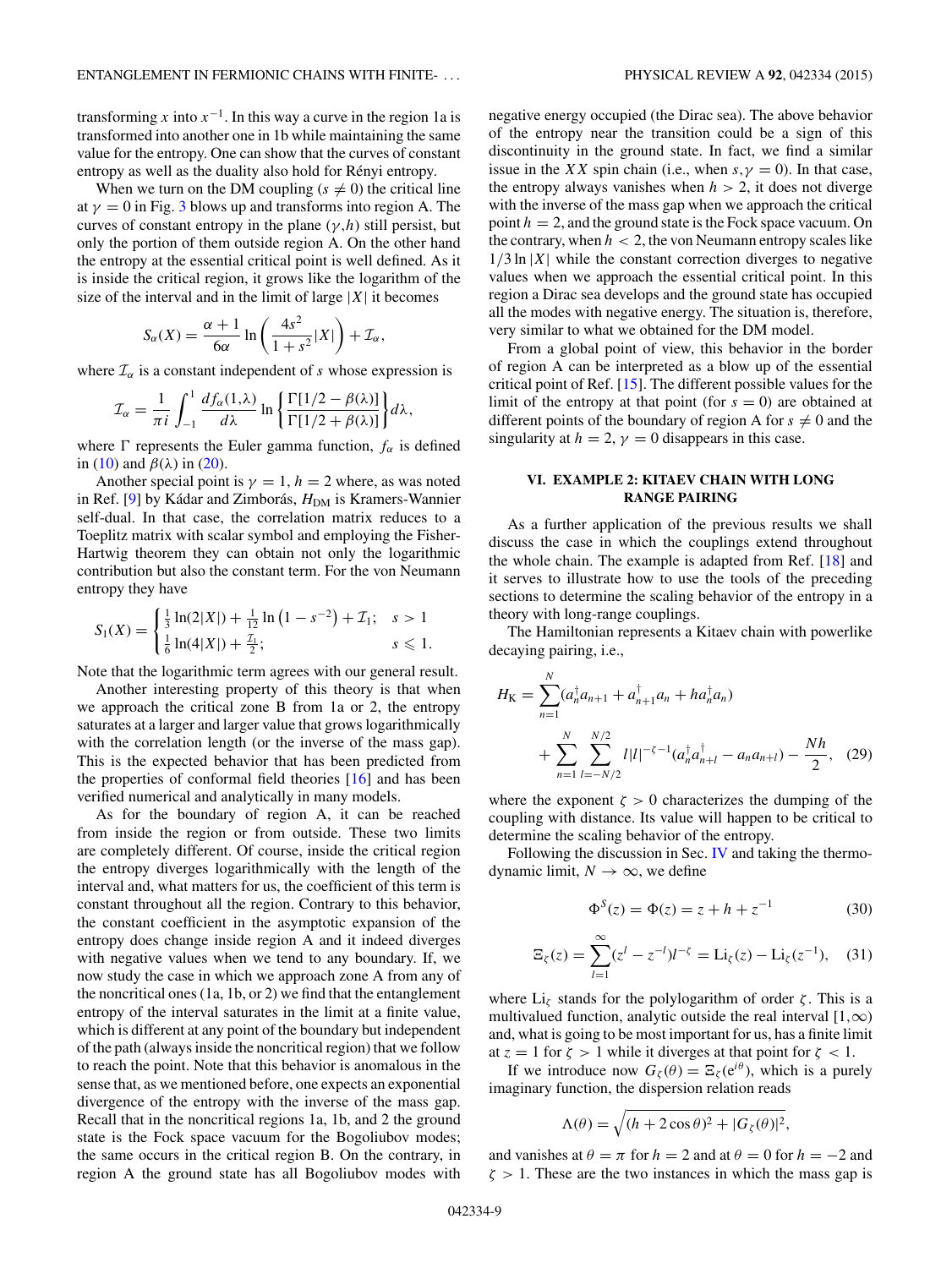<span id="page-8-0"></span>transforming *x* into  $x^{-1}$ . In this way a curve in the region 1a is transformed into another one in 1b while maintaining the same value for the entropy. One can show that the curves of constant entropy as well as the duality also hold for Rényi entropy.

When we turn on the DM coupling  $(s \neq 0)$  the critical line at  $\gamma = 0$  in Fig. [3](#page-7-0) blows up and transforms into region A. The curves of constant entropy in the plane  $(\gamma, h)$  still persist, but only the portion of them outside region A. On the other hand the entropy at the essential critical point is well defined. As it is inside the critical region, it grows like the logarithm of the size of the interval and in the limit of large  $|X|$  it becomes

$$
S_{\alpha}(X) = \frac{\alpha + 1}{6\alpha} \ln \left( \frac{4s^2}{1 + s^2} |X| \right) + \mathcal{I}_{\alpha},
$$

where  $\mathcal{I}_{\alpha}$  is a constant independent of *s* whose expression is

$$
\mathcal{I}_{\alpha} = \frac{1}{\pi i} \int_{-1}^{1} \frac{df_{\alpha}(1,\lambda)}{d\lambda} \ln \left\{ \frac{\Gamma[1/2 - \beta(\lambda)]}{\Gamma[1/2 + \beta(\lambda)]} \right\} d\lambda,
$$

where  $\Gamma$  represents the Euler gamma function,  $f_{\alpha}$  is defined in [\(10\)](#page-3-0) and  $\beta(\lambda)$  in [\(20\)](#page-4-0).

Another special point is  $\gamma = 1$ ,  $h = 2$  where, as was noted in Ref. [\[9\]](#page-10-0) by Kádar and Zimborás,  $H_{DM}$  is Kramers-Wannier self-dual. In that case, the correlation matrix reduces to a Toeplitz matrix with scalar symbol and employing the Fisher-Hartwig theorem they can obtain not only the logarithmic contribution but also the constant term. For the von Neumann entropy they have

$$
S_1(X) = \begin{cases} \frac{1}{3}\ln(2|X|) + \frac{1}{12}\ln(1-s^{-2}) + \mathcal{I}_1; & s > 1\\ \frac{1}{6}\ln(4|X|) + \frac{\mathcal{I}_1}{2}; & s \leq 1. \end{cases}
$$

Note that the logarithmic term agrees with our general result.

Another interesting property of this theory is that when we approach the critical zone B from 1a or 2, the entropy saturates at a larger and larger value that grows logarithmically with the correlation length (or the inverse of the mass gap). This is the expected behavior that has been predicted from the properties of conformal field theories [\[16\]](#page-10-0) and has been verified numerical and analytically in many models.

As for the boundary of region A, it can be reached from inside the region or from outside. These two limits are completely different. Of course, inside the critical region the entropy diverges logarithmically with the length of the interval and, what matters for us, the coefficient of this term is constant throughout all the region. Contrary to this behavior, the constant coefficient in the asymptotic expansion of the entropy does change inside region A and it indeed diverges with negative values when we tend to any boundary. If, we now study the case in which we approach zone A from any of the noncritical ones (1a, 1b, or 2) we find that the entanglement entropy of the interval saturates in the limit at a finite value, which is different at any point of the boundary but independent of the path (always inside the noncritical region) that we follow to reach the point. Note that this behavior is anomalous in the sense that, as we mentioned before, one expects an exponential divergence of the entropy with the inverse of the mass gap. Recall that in the noncritical regions 1a, 1b, and 2 the ground state is the Fock space vacuum for the Bogoliubov modes; the same occurs in the critical region B. On the contrary, in region A the ground state has all Bogoliubov modes with negative energy occupied (the Dirac sea). The above behavior of the entropy near the transition could be a sign of this discontinuity in the ground state. In fact, we find a similar issue in the *XX* spin chain (i.e., when  $s, \gamma = 0$ ). In that case, the entropy always vanishes when  $h > 2$ , it does not diverge with the inverse of the mass gap when we approach the critical point *h* = 2, and the ground state is the Fock space vacuum. On the contrary, when  $h < 2$ , the von Neumann entropy scales like  $1/3 \ln |X|$  while the constant correction diverges to negative values when we approach the essential critical point. In this region a Dirac sea develops and the ground state has occupied all the modes with negative energy. The situation is, therefore, very similar to what we obtained for the DM model.

From a global point of view, this behavior in the border of region A can be interpreted as a blow up of the essential critical point of Ref. [\[15\]](#page-10-0). The different possible values for the limit of the entropy at that point (for  $s = 0$ ) are obtained at different points of the boundary of region A for  $s \neq 0$  and the singularity at  $h = 2$ ,  $\gamma = 0$  disappears in this case.

#### **VI. EXAMPLE 2: KITAEV CHAIN WITH LONG RANGE PAIRING**

As a further application of the previous results we shall discuss the case in which the couplings extend throughout the whole chain. The example is adapted from Ref. [\[18\]](#page-10-0) and it serves to illustrate how to use the tools of the preceding sections to determine the scaling behavior of the entropy in a theory with long-range couplings.

The Hamiltonian represents a Kitaev chain with powerlike decaying pairing, i.e.,

$$
H_{K} = \sum_{n=1}^{N} (a_{n}^{\dagger} a_{n+1} + a_{n+1}^{\dagger} a_{n} + h a_{n}^{\dagger} a_{n}) + \sum_{n=1}^{N} \sum_{l=-N/2}^{N/2} l|l|^{-\zeta-1} (a_{n}^{\dagger} a_{n+l}^{\dagger} - a_{n} a_{n+l}) - \frac{Nh}{2}, \quad (29)
$$

where the exponent  $\zeta > 0$  characterizes the dumping of the coupling with distance. Its value will happen to be critical to determine the scaling behavior of the entropy.

Following the discussion in Sec. [IV](#page-3-0) and taking the thermodynamic limit,  $N \rightarrow \infty$ , we define

$$
\Phi^{S}(z) = \Phi(z) = z + h + z^{-1}
$$
 (30)

$$
\Xi_{\zeta}(z) = \sum_{l=1}^{\infty} (z^l - z^{-l}) l^{-\zeta} = \text{Li}_{\zeta}(z) - \text{Li}_{\zeta}(z^{-1}), \quad (31)
$$

where  $Li_{\zeta}$  stands for the polylogarithm of order  $\zeta$ . This is a multivalued function, analytic outside the real interval  $[1,\infty)$ and, what is going to be most important for us, has a finite limit at  $z = 1$  for  $\zeta > 1$  while it diverges at that point for  $\zeta < 1$ .

If we introduce now  $G_{\zeta}(\theta) = \Xi_{\zeta}(e^{i\theta})$ , which is a purely imaginary function, the dispersion relation reads

$$
\Lambda(\theta) = \sqrt{(h + 2\cos\theta)^2 + |G_\zeta(\theta)|^2},
$$

and vanishes at  $\theta = \pi$  for  $h = 2$  and at  $\theta = 0$  for  $h = -2$  and *ζ >* 1. These are the two instances in which the mass gap is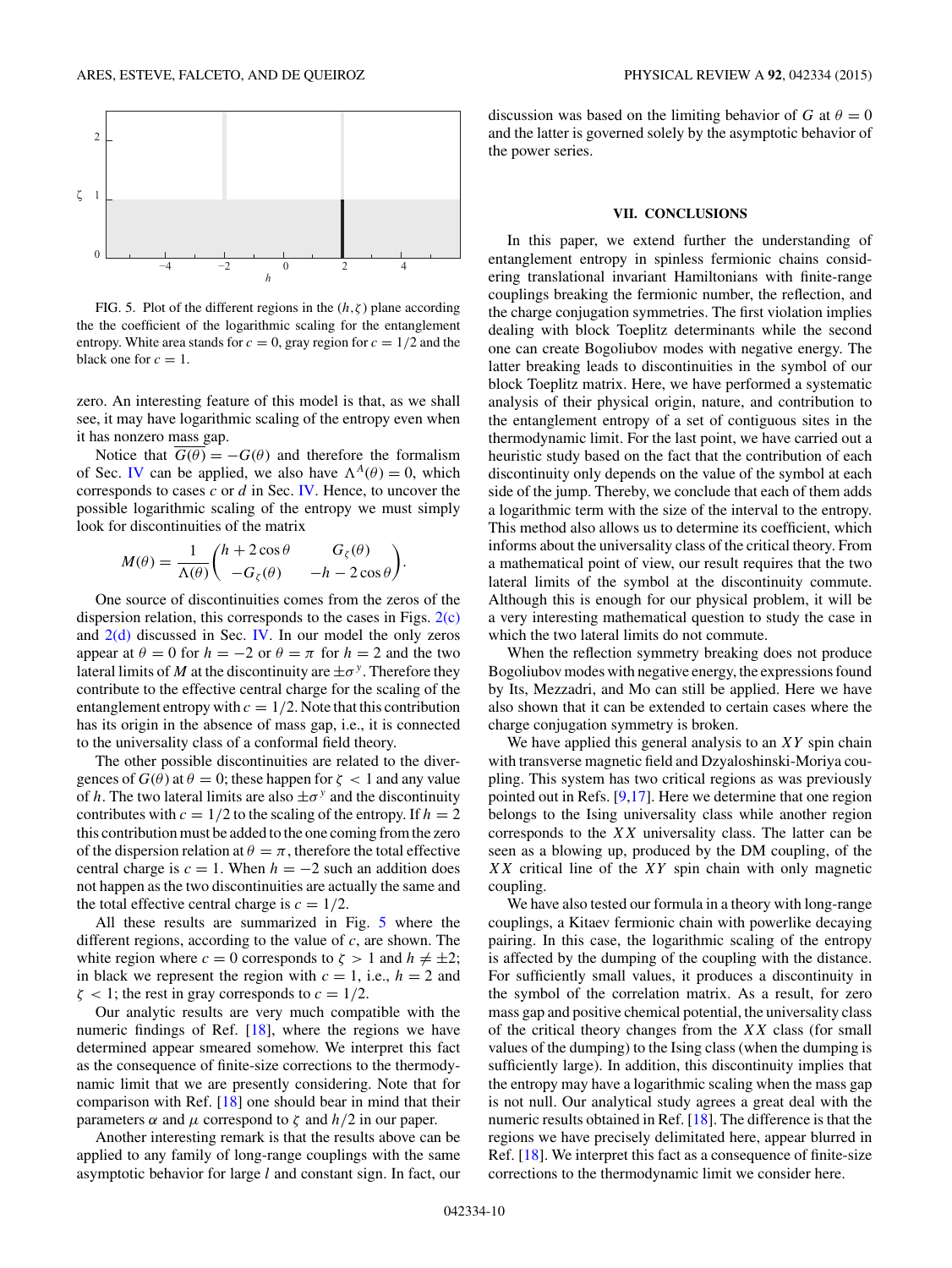<span id="page-9-0"></span>

FIG. 5. Plot of the different regions in the  $(h,\zeta)$  plane according the the coefficient of the logarithmic scaling for the entanglement entropy. White area stands for  $c = 0$ , gray region for  $c = 1/2$  and the black one for  $c = 1$ .

zero. An interesting feature of this model is that, as we shall see, it may have logarithmic scaling of the entropy even when it has nonzero mass gap.

Notice that  $G(\theta) = -G(\theta)$  and therefore the formalism of Sec. [IV](#page-3-0) can be applied, we also have  $\Lambda^{A}(\theta) = 0$ , which corresponds to cases *c* or *d* in Sec. [IV.](#page-3-0) Hence, to uncover the possible logarithmic scaling of the entropy we must simply look for discontinuities of the matrix

$$
M(\theta) = \frac{1}{\Lambda(\theta)} \begin{pmatrix} h + 2\cos\theta & G_{\zeta}(\theta) \\ -G_{\zeta}(\theta) & -h - 2\cos\theta \end{pmatrix}.
$$

One source of discontinuities comes from the zeros of the dispersion relation, this corresponds to the cases in Figs.  $2(c)$ and  $2(d)$  discussed in Sec. [IV.](#page-3-0) In our model the only zeros appear at  $\theta = 0$  for  $h = -2$  or  $\theta = \pi$  for  $h = 2$  and the two lateral limits of *M* at the discontinuity are  $\pm \sigma^y$ . Therefore they contribute to the effective central charge for the scaling of the entanglement entropy with  $c = 1/2$ . Note that this contribution has its origin in the absence of mass gap, i.e., it is connected to the universality class of a conformal field theory.

The other possible discontinuities are related to the divergences of  $G(\theta)$  at  $\theta = 0$ ; these happen for  $\zeta < 1$  and any value of *h*. The two lateral limits are also  $\pm \sigma^y$  and the discontinuity contributes with  $c = 1/2$  to the scaling of the entropy. If  $h = 2$ this contribution must be added to the one coming from the zero of the dispersion relation at  $\theta = \pi$ , therefore the total effective central charge is  $c = 1$ . When  $h = -2$  such an addition does not happen as the two discontinuities are actually the same and the total effective central charge is  $c = 1/2$ .

All these results are summarized in Fig. 5 where the different regions, according to the value of *c*, are shown. The white region where  $c = 0$  corresponds to  $\zeta > 1$  and  $h \neq \pm 2$ ; in black we represent the region with  $c = 1$ , i.e.,  $h = 2$  and  $\zeta$  < 1; the rest in gray corresponds to  $c = 1/2$ .

Our analytic results are very much compatible with the numeric findings of Ref. [\[18\]](#page-10-0), where the regions we have determined appear smeared somehow. We interpret this fact as the consequence of finite-size corrections to the thermodynamic limit that we are presently considering. Note that for comparison with Ref. [\[18\]](#page-10-0) one should bear in mind that their parameters *α* and *μ* correspond to *ζ* and  $h/2$  in our paper.

Another interesting remark is that the results above can be applied to any family of long-range couplings with the same asymptotic behavior for large *l* and constant sign. In fact, our discussion was based on the limiting behavior of *G* at  $\theta = 0$ and the latter is governed solely by the asymptotic behavior of the power series.

#### **VII. CONCLUSIONS**

In this paper, we extend further the understanding of entanglement entropy in spinless fermionic chains considering translational invariant Hamiltonians with finite-range couplings breaking the fermionic number, the reflection, and the charge conjugation symmetries. The first violation implies dealing with block Toeplitz determinants while the second one can create Bogoliubov modes with negative energy. The latter breaking leads to discontinuities in the symbol of our block Toeplitz matrix. Here, we have performed a systematic analysis of their physical origin, nature, and contribution to the entanglement entropy of a set of contiguous sites in the thermodynamic limit. For the last point, we have carried out a heuristic study based on the fact that the contribution of each discontinuity only depends on the value of the symbol at each side of the jump. Thereby, we conclude that each of them adds a logarithmic term with the size of the interval to the entropy. This method also allows us to determine its coefficient, which informs about the universality class of the critical theory. From a mathematical point of view, our result requires that the two lateral limits of the symbol at the discontinuity commute. Although this is enough for our physical problem, it will be a very interesting mathematical question to study the case in which the two lateral limits do not commute.

When the reflection symmetry breaking does not produce Bogoliubov modes with negative energy, the expressions found by Its, Mezzadri, and Mo can still be applied. Here we have also shown that it can be extended to certain cases where the charge conjugation symmetry is broken.

We have applied this general analysis to an *XY* spin chain with transverse magnetic field and Dzyaloshinski-Moriya coupling. This system has two critical regions as was previously pointed out in Refs. [\[9,17\]](#page-10-0). Here we determine that one region belongs to the Ising universality class while another region corresponds to the *XX* universality class. The latter can be seen as a blowing up, produced by the DM coupling, of the *XX* critical line of the *XY* spin chain with only magnetic coupling.

We have also tested our formula in a theory with long-range couplings, a Kitaev fermionic chain with powerlike decaying pairing. In this case, the logarithmic scaling of the entropy is affected by the dumping of the coupling with the distance. For sufficiently small values, it produces a discontinuity in the symbol of the correlation matrix. As a result, for zero mass gap and positive chemical potential, the universality class of the critical theory changes from the *XX* class (for small values of the dumping) to the Ising class (when the dumping is sufficiently large). In addition, this discontinuity implies that the entropy may have a logarithmic scaling when the mass gap is not null. Our analytical study agrees a great deal with the numeric results obtained in Ref. [\[18\]](#page-10-0). The difference is that the regions we have precisely delimitated here, appear blurred in Ref. [\[18\]](#page-10-0). We interpret this fact as a consequence of finite-size corrections to the thermodynamic limit we consider here.